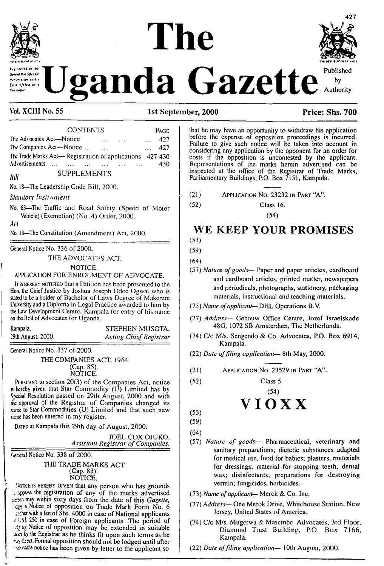



by

Authority

وهدام المعمدة d<br>Ant Office for ssion within .<br>East Africa as c

Vol. XCIII No. 55

#### 1st September, 2000

**CONTENTS** PAGE The Advocates Act-Notice 427 The Companies Act-Notice ... 427  $\overline{\phantom{a}}$  $\mathbb{R}^2$ The Trade Marks Act-Registration of applications 427-430 Advertisements ... ... 430  $\overline{\mathbf{r}}$ 

#### **SUPPLEMENTS**

No. 18-The Leadership Code Bill, 2000.

Standory Instrument

No. 63-The Traffic and Road Safety (Speed of Motor Vehicle) (Exemption) (No. 4) Order, 2000.

Act

Rill

No. 13-The Constitution (Amendment) Act, 2000.

General Notice No. 336 of 2000.

THE ADVOCATES ACT.

NOTICE.

APPLICATION FOR ENROLMENT OF ADVOCATE.

It is HEREBY NOTIFIED that a Petition has been presented to the Hon the Chief Justice by Joshua Joseph Odoc Ogwal who is stated to be a holder of Bachelor of Laws Degree of Makerere University and a Diploma in Legal Practice awarded to him by the Law Development Centre, Kampala for entry of his name on the Roll of Advocates for Uganda.

Kampala, 29th August, 2000.

STEPHEN MUSOTA. **Acting Chief Registrar** 

General Notice No. 337 of 2000.

THE COMPANIES ACT, 1964. (Cap. 85). NOTICE.

PURSUANT to section 20(3) of the Companies Act, notice is hereby given that Star Commodity (U) Limited has by Special Resolution passed on 29th August, 2000 and with the approval of the Registrar of Companies changed its tane to Star Commodities (U) Limited and that such new rame has been entered in my register.

DATED at Kampala this 29th day of August, 2000.

JOEL COX OJUKO, **Assistant Registrar of Companies.** 

General Notice No. 338 of 2000.

THE TRADE MARKS ACT. (Cap. 83). NOTICE.

NOTICE IS HEREBY GIVEN that any person who has grounds . oppose the registration of any of the marks advertised been may within sixty days from the date of this Gazette, steps a Notice of opposition on Trade Mark Form No. 6 Externith a fee of Shs. 4000 in case of National applicants example of the period of the period of the period of the period of the Registrar as he thinks fit upon such terms as he rz, drect. Formal opposition should not be lodged until after zznable notice has been given by letter to the applicant so

that he may have an opportunity to withdraw his application before the expense of opposition proceedings is incurred. Failure to give such notice will be taken into account in considering any application by the opponent for an order for costs if the opposition is uncontested by the applicant. Representations of the marks herein advertised can be inspected at the office of the Registrar of Trade Marks, Parliamentary Buildings, P.O. Box 7151, Kampala.

- $(21)$ APPLICATION NO. 23232 IN PART "A".
- $(52)$ Class 16.

 $(54)$ 

## WE KEEP YOUR PROMISES

 $(53)$  $(59)$ 

 $(64)$ 

- (57) Nature of goods- Paper and paper articles, cardboard and cardboard articles, printed matter, newspapers and periodicals, photographs, stationery, packaging materials, instructional and teaching materials.
- (73) Name of applicant-- DHL Operations B.V.
- (77) Address- Gebouw Office Centre, Jozef Israelskade 48G, 1072 SB Amsterdam, The Netherlands.
- (74) C/o M/s. Sengendo & Co. Advocates, P.O. Box 6914, Kampala.
- (22) Date of filing application-- 8th May, 2000.
- APPLICATION NO. 23529 IN PART "A".  $(21)$

 $(52)$ 

## $(54)$ VIOXX

Class 5.

 $(53)$  $(59)$ 

 $(64)$ 

- (57) Nature of goods- Pharmaceutical, veterinary and sanitary preparations; dietetic substances adapted for medical use, food for babies; plasters, materials for dressings; material for stopping teeth, dental wax; disinfectants; preparations for destroying vermin; fungicides, herbicides.
- (73) Name of applicant-- Merck & Co. Inc.
- (77) Address- One Merok Drive, Whitehouse Station, New Jersey, United States of America.
- (74) C/o M/s. Mugerwa & Masembe Advocates, 3rd Floor, Diamond Trust Building, P.O. Box 7166, Kampala.
- (22) Date of filing application-10th August, 2000.

Price: Shs. 700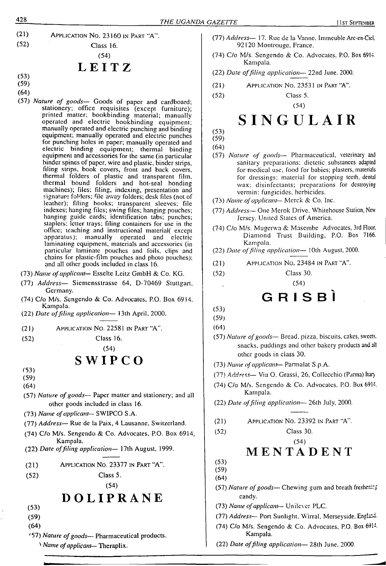

## **LEITZ**

- (53)
- (59)
- (64)
- (57) *Nature of goods—* Goods of paper and cardboard; stationery; office requisites (except furniture); printed matter; bookbinding material; manually operated and electric bookbinding equipment; manually operated and electric punching and binding equipment; manually operated and electric punches for punching holes in paper; manually operated and electric binding equipment; thermal binding equipment and accessories for the same (in particular binder spines of paper, wire and plastic, binder strips, filing strips, book covers, front and back covers, thermal folders of plastic and transparent film, thermal bound folders and hot-seal bonding machines); files; filing, indexing, presentation and signature folders; file away folders; desk files (not of leather); filing books; transparent sleeves; file indexes; hanging files; swing files; hanging pouches; hanging guide cards; identification tabs; punches; staplers; letter trays; filing containers for use in the office; teaching and instructional material( except apparatus); manually operated and electric laminating equipment, materials and accessories (in particular laminate pouches and foils, clips and chains for plastic-film pouches and photo pouches); and all other goods included in class 16.
- (73) *Name ofapplicant—* Esscltc Lcitz GmbH & Co. KG.
- (77) *Address—* Sicmcnsstrasse 64, D-70469 Stuttgart, Germany.
- (74) C/o M/s. Scngendo & Co. Advocates, P.O. Box 6914, Kampala.
- (22) *Date offding application—* 13th April, 2000.
- (21) Application No. 22581 in Part "A".
- (52) Class 16.

(54)

## $S W I P C O$

- (53)
- (59)
- (64)
- (57) *Nature ofgoods—* Paper matter and stationer)'; and all other goods included in class 16.
- (73) *Name ofapplicant* SW1PCO S.A.
- (77) *Address—* Rue de la Paix, 4 Lausanne. Switzerland.
- (74) C/o M/s. Scngendo & Co. Advocates, P.O. Box 6914, Kampala.
- (22) *Date offding application—* 17th August, 1999.
- (21) Application No. 23377 in Part "A".
- (52) Class 5.
	- (54)

## **DOLIPRANE**

- (53)
- (59)
- (64)
- '57) *Nature ofgoods—* Pharmaceutical products.
	- *Name ofapplicant—* Theraplix.
- (77) *Address—* 17. Rue de la Vanne. Immcuble Arc-cn-Ciel. 92120 Montrouge, France.
- (74) C/o M/s. Scngendo & Co. Advocates. P.O. Box 6914. Kampala.
- (22) *Date offiling application—* 22nd June, 2000.
- (21) Application No. 23531 in Part "A".
- (52) Class 5.

(54)

# SINGULAIR

(53) (59)

(64)

- (57) *Nature of goods—* Pharmaceutical, veterinary' and sanitary preparations; dietetic substances adapted for medical use, food for babies; plasters, materials for dressings; material for stopping teeth, dental wax; disinfectants; preparations for destroying vermin; fungicides, herbicides.
- (73) *Name ofapplicant—* Merck & Co. Inc.
- (77) *Address—* One Merok Drive. Whitehouse Station, New Jersey. United States of America.
- (74) C/o M/s. Mugerwa & Masembe Advocates, 3rd Floor, Diamond Trust Building, P.O. Box 7166. Kampala.
- (22) *Dale offding application—* 10th August, 2000.
- (21) Application No. 23484 in Part "A".
- (52) Class 30.

(54)

## GRISBI

- (53)
- (59) (64)
- (57) *Nature of goods* Bread, pizza, biscuits, cakes, sweets. snacks, puddings and other bakery products and alt
- other goods in class 30. (73) *Name ofapplicant*— Parmalat S.p.A.
- (77) *Address—* Via O. Grassi, 26, Collecchio (Parma) Iiary.
- (74) C/o M/s. Scngendo & Co. Advocates, P.O. Box 6914 Kampala.
- (22) *Date offding application—* 26lh July, 2000.
- (21) Application No. 23392 in Part "A".
- (52) Class 30.
	- (54)

## **MENTADENT**

- (53) (59)
- (64)
- (57) *Nature of goods* Chewing gum and breath freshenize candy.
- (73) *Name ofapplicant—* Unilever PLC.
- (77) *Address* Port Sunlight. Wirral, Merseyside, England.
- (74) C/o M/s. Sengendo &. Co. Advocates, P.O. Box 6914 Kampala.
- (22) *Date offiling application—* 28th June. 2000.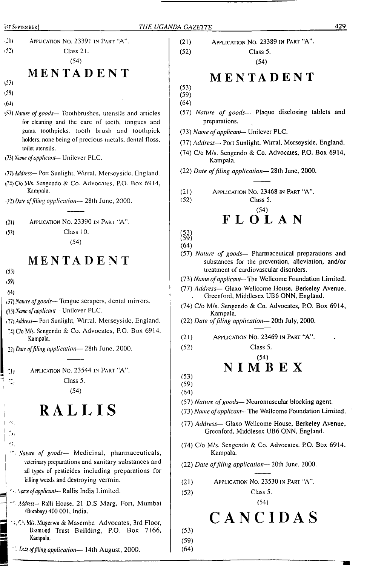| $\mathcal{L}$<br>APPLICATION NO. 23391 IN PART "A".                                                          | APPLICATION NO. 23389 IN PART "A".<br>(21)                                                                                                            |
|--------------------------------------------------------------------------------------------------------------|-------------------------------------------------------------------------------------------------------------------------------------------------------|
| (52)<br>Class 21.                                                                                            | (52)<br>Class 5.                                                                                                                                      |
| (54)                                                                                                         | (54)                                                                                                                                                  |
| MENTADENT                                                                                                    | MENTADENT                                                                                                                                             |
| (53)                                                                                                         | (53)                                                                                                                                                  |
| (59)                                                                                                         | (59)                                                                                                                                                  |
| (4)                                                                                                          | (64)                                                                                                                                                  |
| (57) Nature of goods— Toothbrushes, utensils and articles<br>for cleaning and the care of teeth, tongues and | (57) Nature of goods- Plaque disclosing tablets and<br>preparations.                                                                                  |
| gums, toothpicks, tooth brush and toothpick                                                                  | (73) Name of applicant- Unilever PLC.                                                                                                                 |
| holders, none being of precious metals, dental floss,                                                        | (77) Address- Port Sunlight, Wirral, Merseyside, England.                                                                                             |
| toilet utensils.<br>(73) Name of applicant-Unilever PLC.                                                     | (74) C/o M/s. Sengendo & Co. Advocates, P.O. Box 6914,                                                                                                |
|                                                                                                              | Kampala.                                                                                                                                              |
| (77) Address-Port Sunlight, Wirral, Merseyside, England.                                                     | (22) Date of filing application-28th June, 2000.                                                                                                      |
| (?4) C/o M/s. Sengendo & Co. Advocates, P.O. Box 6914,                                                       |                                                                                                                                                       |
| Kampala.                                                                                                     | (21)<br>APPLICATION NO. 23468 IN PART "A".<br>(52)<br>Class 5.                                                                                        |
| (22) Date of filing application-28th June, 2000.                                                             | (54)                                                                                                                                                  |
| APPLICATION NO. 23390 IN PART "A".                                                                           | <b>FLOLAN</b>                                                                                                                                         |
| (21)<br>Class 10.<br>(52)                                                                                    |                                                                                                                                                       |
| (54)                                                                                                         | $\binom{53}{59}$                                                                                                                                      |
|                                                                                                              | (64)                                                                                                                                                  |
| MENTADENT<br>(53)                                                                                            | (57) Nature of goods- Pharmaceutical preparations and<br>substances for the prevention, alleviation, and/or<br>treatment of cardiovascular disorders. |
| (59)                                                                                                         | (73) Name of applicant-The Wellcome Foundation Limited.                                                                                               |
| 64)                                                                                                          | (77) Address- Glaxo Wellcome House, Berkeley Avenue,<br>Greenford, Middlesex UB6 ONN, England.                                                        |
| (57) Nature of goods- Tongue scrapers, dental mirrors.<br>(73) Name of applicant- Unilever PLC.              | (74) C/o M/s. Sengendo & Co. Advocates, P.O. Box 6914,<br>Kampala.                                                                                    |
| (77) Address- Port Sunlight, Wirral. Merseyside, England.                                                    | (22) Date of filing application-20th July, 2000.                                                                                                      |
| 74) C/o M/s. Sengendo & Co. Advocates, P.O. Box 6914,                                                        |                                                                                                                                                       |
| Kampala.                                                                                                     | (21)<br>APPLICATION NO. 23469 IN PART "A".                                                                                                            |
| 22) Date of filing application-28th June, 2000.                                                              | Class 5.<br>(52)                                                                                                                                      |
|                                                                                                              | (54)<br><b>NIMBEX</b>                                                                                                                                 |
| APPLICATION NO. 23544 IN PART "A".<br>-1)                                                                    | (53)                                                                                                                                                  |
| Class 5.<br>$\mathbb{Z}_2$                                                                                   | (59)                                                                                                                                                  |
| (54)                                                                                                         | (64)                                                                                                                                                  |
| RALLIS                                                                                                       | (57) Nature of goods-Neuromuscular blocking agent.<br>(73) Name of applicant-The Wellcome Foundation Limited.                                         |
| 71                                                                                                           | (77) Address- Glaxo Wellcome House, Berkeley Avenue,<br>Greenford, Middlesex UB6 ONN, England.                                                        |
| $\sigma_{\rm eff}$<br>". Nature of goods- Medicinal, pharmaceuticals,                                        | (74) C/o M/s. Sengendo & Co. Advocates, P.O. Box 6914,<br>Kampala.                                                                                    |
| veterinary preparations and sanitary substances and<br>all types of pesticides including preparations for    | (22) Date of filing application-20th June, 2000.                                                                                                      |
| killing weeds and destroying vermin.                                                                         | APPLICATION NO. 23530 IN PART "A".<br>(21)                                                                                                            |
| Sections of applicant-Rallis India Limited.                                                                  | Class 5.<br>(52)                                                                                                                                      |
| Address- Ralli House, 21 D.S Marg, Fort, Mumbai<br>(Bombay) 400 001, India.                                  | (54)                                                                                                                                                  |
| 14, C/5 M/s. Mugerwa & Masembe Advocates, 3rd Floor,<br>Diamond Trust Building, P.O. Box 7166,               | CANCIDAS<br>(53)                                                                                                                                      |
| Kampala.                                                                                                     | (59)                                                                                                                                                  |

*", Ute offiling application—* 14th August, 2000.

(64)

**<sup>1</sup>st <sup>S</sup>eptember]** *THE UGANDA GAZETTE* **<sup>429</sup>**

T